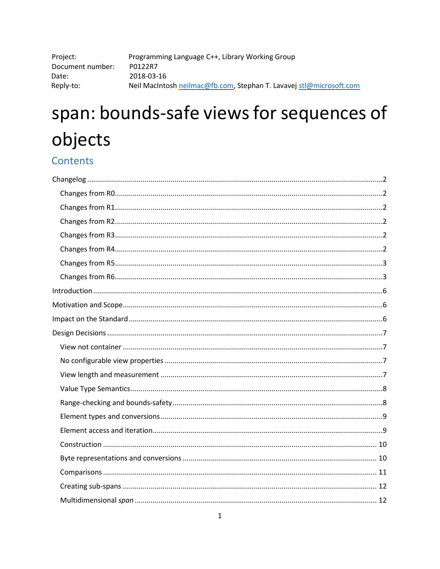| Project:         | Programming Language C++, Library Working Group                     |
|------------------|---------------------------------------------------------------------|
| Document number: | P0122R7                                                             |
| Date:            | 2018-03-16                                                          |
| Reply-to:        | Neil MacIntosh neilmac@fb.com, Stephan T. Lavavej stl@microsoft.com |

# span: bounds-safe views for sequences of objects

# Contents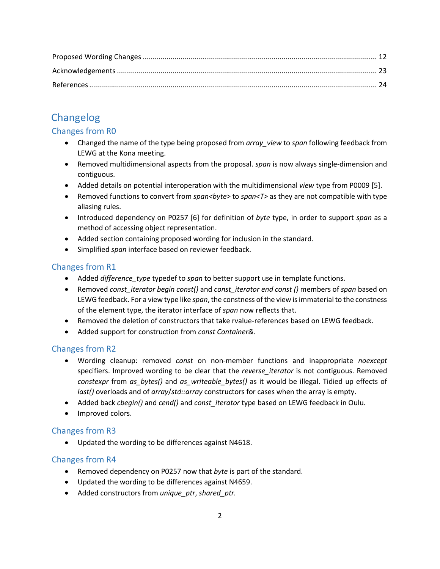# <span id="page-1-0"></span>Changelog

# <span id="page-1-1"></span>Changes from R0

- Changed the name of the type being proposed from *array\_view* to *span* following feedback from LEWG at the Kona meeting.
- Removed multidimensional aspects from the proposal. *span* is now always single-dimension and contiguous.
- Added details on potential interoperation with the multidimensional *view* type from P0009 [5].
- Removed functions to convert from *span<byte>* to *span<T>* as they are not compatible with type aliasing rules.
- Introduced dependency on P0257 [6] for definition of *byte* type, in order to support *span* as a method of accessing object representation.
- Added section containing proposed wording for inclusion in the standard.
- Simplified *span* interface based on reviewer feedback.

# <span id="page-1-2"></span>Changes from R1

- Added *difference\_type* typedef to *span* to better support use in template functions.
- Removed *const\_iterator begin const()* and *const\_iterator end const ()* members of *span* based on LEWG feedback. For a view type like *span*, the constness of the view is immaterial to the constness of the element type, the iterator interface of *span* now reflects that.
- Removed the deletion of constructors that take rvalue-references based on LEWG feedback.
- Added support for construction from *const Container&*.

# <span id="page-1-3"></span>Changes from R2

- Wording cleanup: removed *const* on non-member functions and inappropriate *noexcept* specifiers. Improved wording to be clear that the *reverse iterator* is not contiguous. Removed *constexpr* from *as\_bytes()* and *as\_writeable\_bytes()* as it would be illegal. Tidied up effects of *last()* overloads and of *array*/*std::array* constructors for cases when the array is empty.
- Added back *cbegin()* and *cend()* and *const\_iterator* type based on LEWG feedback in Oulu.
- Improved colors.

# <span id="page-1-4"></span>Changes from R3

• Updated the wording to be differences against N4618.

# <span id="page-1-5"></span>Changes from R4

- Removed dependency on P0257 now that *byte* is part of the standard.
- Updated the wording to be differences against N4659.
- Added constructors from *unique\_ptr*, *shared\_ptr.*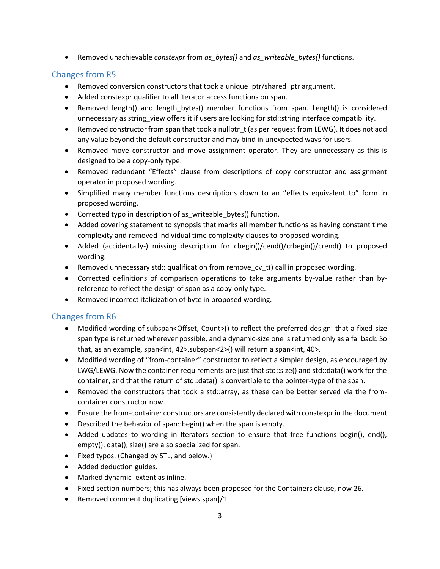• Removed unachievable *constexpr* from *as\_bytes()* and *as\_writeable\_bytes()* functions.

# <span id="page-2-0"></span>Changes from R5

- Removed conversion constructors that took a unique\_ptr/shared\_ptr argument.
- Added constexpr qualifier to all iterator access functions on span.
- Removed length() and length bytes() member functions from span. Length() is considered unnecessary as string\_view offers it if users are looking for std::string interface compatibility.
- Removed constructor from span that took a nullptr t (as per request from LEWG). It does not add any value beyond the default constructor and may bind in unexpected ways for users.
- Removed move constructor and move assignment operator. They are unnecessary as this is designed to be a copy-only type.
- Removed redundant "Effects" clause from descriptions of copy constructor and assignment operator in proposed wording.
- Simplified many member functions descriptions down to an "effects equivalent to" form in proposed wording.
- Corrected typo in description of as writeable bytes() function.
- Added covering statement to synopsis that marks all member functions as having constant time complexity and removed individual time complexity clauses to proposed wording.
- Added (accidentally-) missing description for cbegin()/cend()/crbegin()/crend() to proposed wording.
- Removed unnecessary std:: qualification from remove\_cv\_t() call in proposed wording.
- Corrected definitions of comparison operations to take arguments by-value rather than byreference to reflect the design of span as a copy-only type.
- Removed incorrect italicization of byte in proposed wording.

# <span id="page-2-1"></span>Changes from R6

- Modified wording of subspan<Offset, Count>() to reflect the preferred design: that a fixed-size span type is returned wherever possible, and a dynamic-size one is returned only as a fallback. So that, as an example, span<int, 42>.subspan<2>() will return a span<int, 40>.
- Modified wording of "from-container" constructor to reflect a simpler design, as encouraged by LWG/LEWG. Now the container requirements are just that std::size() and std::data() work for the container, and that the return of std::data() is convertible to the pointer-type of the span.
- Removed the constructors that took a std::array, as these can be better served via the fromcontainer constructor now.
- Ensure the from-container constructors are consistently declared with constexpr in the document
- Described the behavior of span::begin() when the span is empty.
- Added updates to wording in Iterators section to ensure that free functions begin(), end(), empty(), data(), size() are also specialized for span.
- Fixed typos. (Changed by STL, and below.)
- Added deduction guides.
- Marked dynamic\_extent as inline.
- Fixed section numbers; this has always been proposed for the Containers clause, now 26.
- Removed comment duplicating [views.span]/1.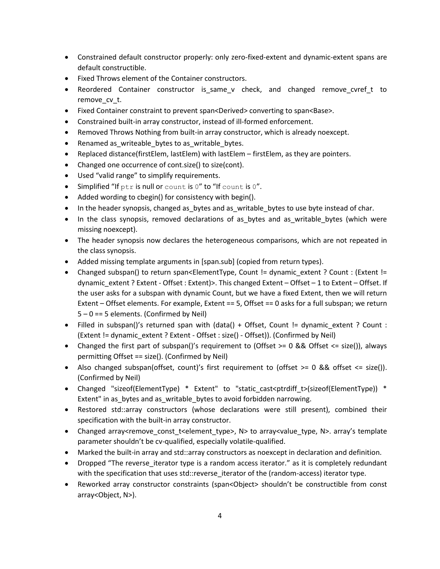- Constrained default constructor properly: only zero-fixed-extent and dynamic-extent spans are default constructible.
- Fixed Throws element of the Container constructors.
- Reordered Container constructor is\_same\_v check, and changed remove\_cvref\_t to remove cv t.
- Fixed Container constraint to prevent span<Derived> converting to span<Base>.
- Constrained built-in array constructor, instead of ill-formed enforcement.
- Removed Throws Nothing from built-in array constructor, which is already noexcept.
- Renamed as writeable bytes to as writable bytes.
- Replaced distance(firstElem, lastElem) with lastElem firstElem, as they are pointers.
- Changed one occurrence of cont.size() to size(cont).
- Used "valid range" to simplify requirements.
- $\bullet$  Simplified "If ptr is null or count is 0" to "If count is 0".
- Added wording to cbegin() for consistency with begin().
- In the header synopsis, changed as \_bytes and as \_writable \_bytes to use byte instead of char.
- In the class synopsis, removed declarations of as bytes and as writable bytes (which were missing noexcept).
- The header synopsis now declares the heterogeneous comparisons, which are not repeated in the class synopsis.
- Added missing template arguments in [span.sub] (copied from return types).
- Changed subspan() to return span<ElementType, Count != dynamic\_extent ? Count : (Extent != dynamic\_extent ? Extent - Offset : Extent)>. This changed Extent – Offset – 1 to Extent – Offset. If the user asks for a subspan with dynamic Count, but we have a fixed Extent, then we will return Extent – Offset elements. For example, Extent == 5, Offset == 0 asks for a full subspan; we return  $5 - 0 == 5$  elements. (Confirmed by Neil)
- Filled in subspan()'s returned span with (data() + Offset, Count != dynamic\_extent ? Count : (Extent != dynamic\_extent ? Extent - Offset : size() - Offset)). (Confirmed by Neil)
- Changed the first part of subspan()'s requirement to (Offset  $>= 0$  && Offset  $<=$  size()), always permitting Offset == size(). (Confirmed by Neil)
- Also changed subspan(offset, count)'s first requirement to (offset >= 0 && offset <= size()). (Confirmed by Neil)
- Changed "sizeof(ElementType) \* Extent" to "static cast<ptrdiff t>(sizeof(ElementType)) \* Extent" in as\_bytes and as\_writable\_bytes to avoid forbidden narrowing.
- Restored std::array constructors (whose declarations were still present), combined their specification with the built-in array constructor.
- Changed array<remove\_const\_t<element\_type>, N> to array<value\_type, N>. array's template parameter shouldn't be cv-qualified, especially volatile-qualified.
- Marked the built-in array and std::array constructors as noexcept in declaration and definition.
- Dropped "The reverse iterator type is a random access iterator." as it is completely redundant with the specification that uses std::reverse iterator of the (random-access) iterator type.
- Reworked array constructor constraints (span<Object> shouldn't be constructible from const array<Object, N>).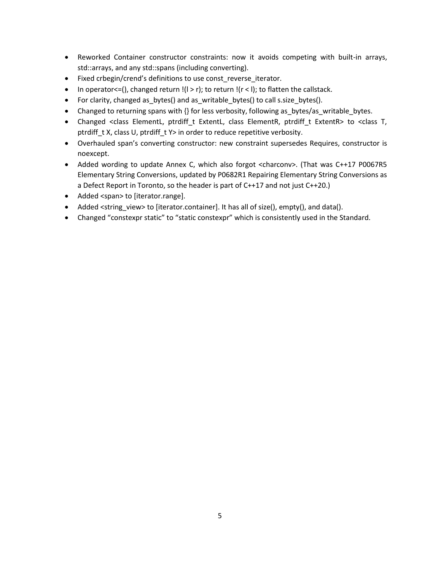- Reworked Container constructor constraints: now it avoids competing with built-in arrays, std::arrays, and any std::spans (including converting).
- Fixed crbegin/crend's definitions to use const\_reverse\_iterator.
- In operator <= (), changed return  $!(1 > r)$ ; to return  $!(r < l)$ ; to flatten the callstack.
- For clarity, changed as\_bytes() and as\_writable\_bytes() to call s.size\_bytes().
- Changed to returning spans with  $\{\}$  for less verbosity, following as bytes/as writable bytes.
- Changed <class ElementL, ptrdiff\_t ExtentL, class ElementR, ptrdiff\_t ExtentR> to <class T, ptrdiff t X, class U, ptrdiff t Y> in order to reduce repetitive verbosity.
- Overhauled span's converting constructor: new constraint supersedes Requires, constructor is noexcept.
- Added wording to update Annex C, which also forgot <charconv>. (That was C++17 P0067R5 Elementary String Conversions, updated by P0682R1 Repairing Elementary String Conversions as a Defect Report in Toronto, so the header is part of C++17 and not just C++20.)
- Added <span> to [iterator.range].
- Added <string\_view> to [iterator.container]. It has all of size(), empty(), and data().
- Changed "constexpr static" to "static constexpr" which is consistently used in the Standard.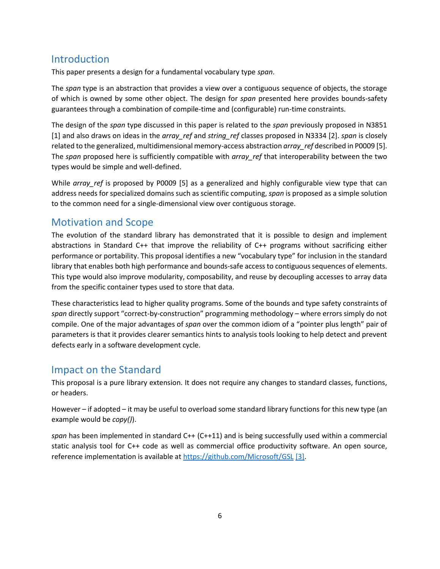# <span id="page-5-0"></span>Introduction

This paper presents a design for a fundamental vocabulary type *span*.

The *span* type is an abstraction that provides a view over a contiguous sequence of objects, the storage of which is owned by some other object. The design for *span* presented here provides bounds-safety guarantees through a combination of compile-time and (configurable) run-time constraints.

The design of the *span* type discussed in this paper is related to the *span* previously proposed in N3851 [1] and also draws on ideas in the *array\_ref* and *string\_ref* classes proposed in N3334 [2]. *span* is closely related to the generalized, multidimensional memory-access abstraction *array\_ref* described in P0009 [5]. The *span* proposed here is sufficiently compatible with *array\_ref* that interoperability between the two types would be simple and well-defined.

While *array ref* is proposed by P0009 [5] as a generalized and highly configurable view type that can address needs for specialized domains such as scientific computing, *span* is proposed as a simple solution to the common need for a single-dimensional view over contiguous storage.

# <span id="page-5-1"></span>Motivation and Scope

The evolution of the standard library has demonstrated that it is possible to design and implement abstractions in Standard C++ that improve the reliability of C++ programs without sacrificing either performance or portability. This proposal identifies a new "vocabulary type" for inclusion in the standard library that enables both high performance and bounds-safe access to contiguous sequences of elements. This type would also improve modularity, composability, and reuse by decoupling accesses to array data from the specific container types used to store that data.

These characteristics lead to higher quality programs. Some of the bounds and type safety constraints of *span* directly support "correct-by-construction" programming methodology – where errors simply do not compile. One of the major advantages of *span* over the common idiom of a "pointer plus length" pair of parameters is that it provides clearer semantics hints to analysis tools looking to help detect and prevent defects early in a software development cycle.

# <span id="page-5-2"></span>Impact on the Standard

This proposal is a pure library extension. It does not require any changes to standard classes, functions, or headers.

However – if adopted – it may be useful to overload some standard library functions for this new type (an example would be *copy()*).

*span* has been implemented in standard C++ (C++11) and is being successfully used within a commercial static analysis tool for C++ code as well as commercial office productivity software. An open source, reference implementation is available at<https://github.com/Microsoft/GSL> [3].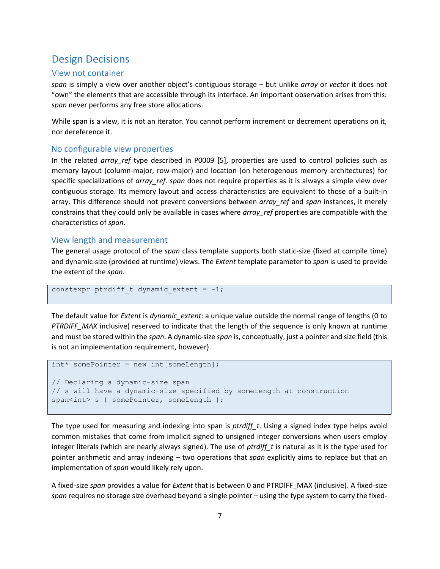# <span id="page-6-0"></span>Design Decisions

## <span id="page-6-1"></span>View not container

*span* is simply a view over another object's contiguous storage – but unlike *array* or *vector* it does not "own" the elements that are accessible through its interface. An important observation arises from this: *span* never performs any free store allocations.

While span is a view, it is not an iterator. You cannot perform increment or decrement operations on it, nor dereference it.

## <span id="page-6-2"></span>No configurable view properties

In the related *array\_ref* type described in P0009 [5], properties are used to control policies such as memory layout (column-major, row-major) and location (on heterogenous memory architectures) for specific specializations of *array\_ref*. *span* does not require properties as it is always a simple view over contiguous storage. Its memory layout and access characteristics are equivalent to those of a built-in array. This difference should not prevent conversions between *array\_ref* and *span* instances, it merely constrains that they could only be available in cases where *array\_ref* properties are compatible with the characteristics of *span*.

## <span id="page-6-3"></span>View length and measurement

The general usage protocol of the *span* class template supports both static-size (fixed at compile time) and dynamic-size (provided at runtime) views. The *Extent* template parameter to *span* is used to provide the extent of the *span*.

```
constexpr ptrdiff t dynamic extent = -1;
```
The default value for *Extent* is *dynamic\_extent*: a unique value outside the normal range of lengths (0 to *PTRDIFF\_MAX* inclusive) reserved to indicate that the length of the sequence is only known at runtime and must be stored within the *span*. A dynamic-size *span* is, conceptually, just a pointer and size field (this is not an implementation requirement, however).

```
int* somePointer = new int[someLength];
```

```
// Declaring a dynamic-size span 
// s will have a dynamic-size specified by someLength at construction
span<int> s { somePointer, someLength };
```
The type used for measuring and indexing into span is *ptrdiff* t. Using a signed index type helps avoid common mistakes that come from implicit signed to unsigned integer conversions when users employ integer literals (which are nearly always signed). The use of *ptrdiff\_t* is natural as it is the type used for pointer arithmetic and array indexing – two operations that *span* explicitly aims to replace but that an implementation of *span* would likely rely upon.

A fixed-size *span* provides a value for *Extent* that is between 0 and PTRDIFF\_MAX (inclusive). A fixed-size *span* requires no storage size overhead beyond a single pointer – using the type system to carry the fixed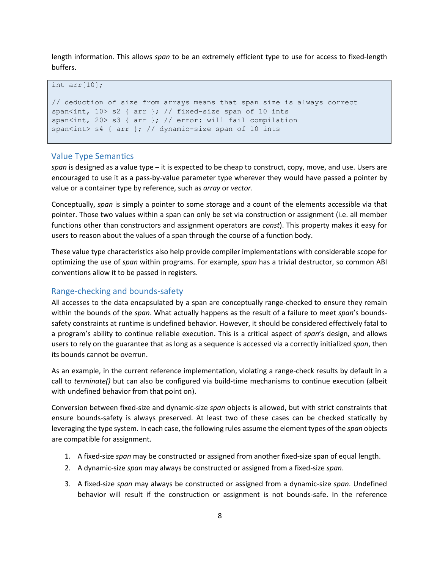length information. This allows *span* to be an extremely efficient type to use for access to fixed-length buffers.

#### int arr[10];

```
// deduction of size from arrays means that span size is always correct
span<int, 10 > s2 { arr }; // fixed-size span of 10 ints
span<int, 20> s3 { arr }; // error: will fail compilation
span<int> s4 { arr }; // dynamic-size span of 10 ints
```
## <span id="page-7-0"></span>Value Type Semantics

*span* is designed as a value type – it is expected to be cheap to construct, copy, move, and use. Users are encouraged to use it as a pass-by-value parameter type wherever they would have passed a pointer by value or a container type by reference, such as *array* or *vector*.

Conceptually, *span* is simply a pointer to some storage and a count of the elements accessible via that pointer. Those two values within a span can only be set via construction or assignment (i.e. all member functions other than constructors and assignment operators are *const*). This property makes it easy for users to reason about the values of a span through the course of a function body.

These value type characteristics also help provide compiler implementations with considerable scope for optimizing the use of *span* within programs. For example, *span* has a trivial destructor, so common ABI conventions allow it to be passed in registers.

#### <span id="page-7-1"></span>Range-checking and bounds-safety

All accesses to the data encapsulated by a span are conceptually range-checked to ensure they remain within the bounds of the *span*. What actually happens as the result of a failure to meet *span*'s boundssafety constraints at runtime is undefined behavior. However, it should be considered effectively fatal to a program's ability to continue reliable execution. This is a critical aspect of *span*'s design, and allows users to rely on the guarantee that as long as a sequence is accessed via a correctly initialized *span*, then its bounds cannot be overrun.

As an example, in the current reference implementation, violating a range-check results by default in a call to *terminate()* but can also be configured via build-time mechanisms to continue execution (albeit with undefined behavior from that point on).

Conversion between fixed-size and dynamic-size *span* objects is allowed, but with strict constraints that ensure bounds-safety is always preserved. At least two of these cases can be checked statically by leveraging the type system. In each case, the following rules assume the element types of the *span* objects are compatible for assignment.

- 1. A fixed-size *span* may be constructed or assigned from another fixed-size span of equal length.
- 2. A dynamic-size *span* may always be constructed or assigned from a fixed-size *span*.
- 3. A fixed-size *span* may always be constructed or assigned from a dynamic-size *span*. Undefined behavior will result if the construction or assignment is not bounds-safe. In the reference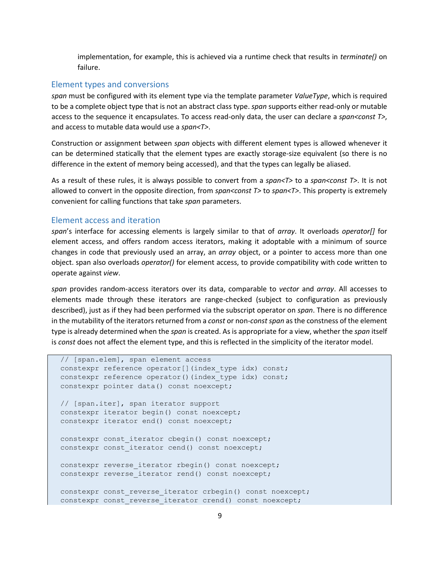implementation, for example, this is achieved via a runtime check that results in *terminate()* on failure.

#### <span id="page-8-0"></span>Element types and conversions

*span* must be configured with its element type via the template parameter *ValueType*, which is required to be a complete object type that is not an abstract class type. *span* supports either read-only or mutable access to the sequence it encapsulates. To access read-only data, the user can declare a *span<const T>*, and access to mutable data would use a *span<T>*.

Construction or assignment between *span* objects with different element types is allowed whenever it can be determined statically that the element types are exactly storage-size equivalent (so there is no difference in the extent of memory being accessed), and that the types can legally be aliased.

As a result of these rules, it is always possible to convert from a *span<T>* to a *span<const T>*. It is not allowed to convert in the opposite direction, from *span<const T>* to *span<T>*. This property is extremely convenient for calling functions that take *span* parameters.

#### <span id="page-8-1"></span>Element access and iteration

*span*'s interface for accessing elements is largely similar to that of *array*. It overloads *operator[]* for element access, and offers random access iterators, making it adoptable with a minimum of source changes in code that previously used an array, an *array* object, or a pointer to access more than one object. span also overloads *operator()* for element access, to provide compatibility with code written to operate against *view*.

*span* provides random-access iterators over its data, comparable to *vector* and *array*. All accesses to elements made through these iterators are range-checked (subject to configuration as previously described), just as if they had been performed via the subscript operator on *span*. There is no difference in the mutability of the iterators returned from a *const* or non-*const span* as the constness of the element type is already determined when the *span* is created. As is appropriate for a view, whether the *span* itself is *const* does not affect the element type, and this is reflected in the simplicity of the iterator model.

```
 // [span.elem], span element access
constexpr reference operator[](index type idx) const;
 constexpr reference operator()(index_type idx) const;
 constexpr pointer data() const noexcept;
 // [span.iter], span iterator support
 constexpr iterator begin() const noexcept;
 constexpr iterator end() const noexcept;
constexpr const iterator cbegin() const noexcept;
constexpr const iterator cend() const noexcept;
constexpr reverse iterator rbegin() const noexcept;
constexpr reverse iterator rend() const noexcept;
constexpr const reverse iterator crbegin() const noexcept;
constexpr const reverse iterator crend() const noexcept;
```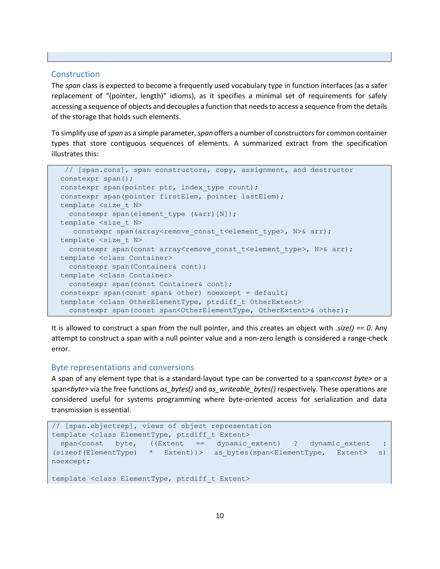#### <span id="page-9-0"></span>Construction

The *span* class is expected to become a frequently used vocabulary type in function interfaces (as a safer replacement of "(pointer, length)" idioms), as it specifies a minimal set of requirements for safely accessing a sequence of objects and decouples a function that needs to access a sequence from the details of the storage that holds such elements.

To simplify use of *span* as a simple parameter, *span* offers a number of constructors for common container types that store contiguous sequences of elements. A summarized extract from the specification illustrates this:

```
 // [span.cons], span constructors, copy, assignment, and destructor
 constexpr span();
constexpr span(pointer ptr, index type count);
 constexpr span(pointer firstElem, pointer lastElem);
template <size t N>
 constexpr span(element type (&arr)[N]);
template <size t N>
  constexpr span(array<remove const t<element type>, N>& arr);
template <size t N>
 constexpr span(const array<remove const t<element type>, N>& arr);
 template <class Container>
  constexpr span(Container& cont);
 template <class Container>
   constexpr span(const Container& cont);
 constexpr span(const span& other) noexcept = default;
 template <class OtherElementType, ptrdiff_t OtherExtent> 
  constexpr span(const span<OtherElementType, OtherExtent>& other);
```
It is allowed to construct a span from the null pointer, and this creates an object with *.size() == 0*. Any attempt to construct a span with a null pointer value and a non-zero length is considered a range-check error.

## <span id="page-9-1"></span>Byte representations and conversions

A span of any element type that is a standard-layout type can be converted to a span*<const byte>* or a span*<byte>* via the free functions *as\_bytes()* and *as\_writeable\_bytes()* respectively. These operations are considered useful for systems programming where byte-oriented access for serialization and data transmission is essential.

```
// [span.objectrep], views of object representation
template <class ElementType, ptrdiff t Extent>
 span<const byte, ((Extent == dynamic_extent) ? dynamic_extent :
(sizeof(ElementType) * Extent))> as_bytes(span<ElementType, Extent> s)
noexcept;
template <class ElementType, ptrdiff t Extent>
```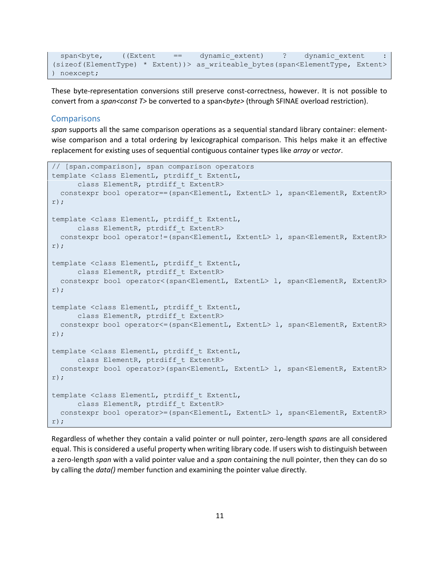```
span<br/>Span<br/>((Extent == dynamic extent :
(sizeof(ElementType) * Extent))> as_writeable_bytes(span<ElementType, Extent> 
) noexcept;
```
These byte-representation conversions still preserve const-correctness, however. It is not possible to convert from a *span<const T>* be converted to a span*<byte>* (through SFINAE overload restriction).

#### <span id="page-10-0"></span>**Comparisons**

*span* supports all the same comparison operations as a sequential standard library container: elementwise comparison and a total ordering by lexicographical comparison. This helps make it an effective replacement for existing uses of sequential contiguous container types like *array* or *vector*.

```
// [span.comparison], span comparison operators
template <class ElementL, ptrdiff t ExtentL,
      class ElementR, ptrdiff t ExtentR>
   constexpr bool operator==(span<ElementL, ExtentL> l, span<ElementR, ExtentR> 
r);
template <class ElementL, ptrdiff t ExtentL,
      class ElementR, ptrdiff t ExtentR>
  constexpr bool operator!=(span<ElementL, ExtentL> l, span<ElementR, ExtentR> 
r);
template <class ElementL, ptrdiff t ExtentL,
     class ElementR, ptrdiff t ExtentR>
 constexpr bool operator<(span<ElementL, ExtentL> l, span<ElementR, ExtentR>
r);
template <class ElementL, ptrdiff t ExtentL,
      class ElementR, ptrdiff t ExtentR>
  constexpr bool operator<=(span<ElementL, ExtentL> l, span<ElementR, ExtentR> 
r);
template <class ElementL, ptrdiff_t ExtentL,
      class ElementR, ptrdiff t ExtentR>
 constexpr bool operator>(span<ElementL, ExtentL> l, span<ElementR, ExtentR>
r);
template <class ElementL, ptrdiff t ExtentL,
     class ElementR, ptrdiff t ExtentR>
   constexpr bool operator>=(span<ElementL, ExtentL> l, span<ElementR, ExtentR> 
r);
```
Regardless of whether they contain a valid pointer or null pointer, zero-length *span*s are all considered equal. This is considered a useful property when writing library code. If users wish to distinguish between a zero-length *span* with a valid pointer value and a *span* containing the null pointer, then they can do so by calling the *data()* member function and examining the pointer value directly.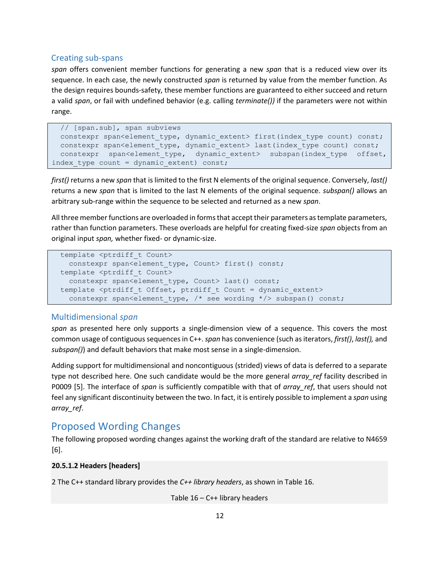## <span id="page-11-0"></span>Creating sub-spans

*span* offers convenient member functions for generating a new *span* that is a reduced view over its sequence. In each case, the newly constructed *span* is returned by value from the member function. As the design requires bounds-safety, these member functions are guaranteed to either succeed and return a valid *span*, or fail with undefined behavior (e.g. calling *terminate())* if the parameters were not within range.

```
 // [span.sub], span subviews 
 constexpr span<element type, dynamic extent> first(index type count) const;
 constexpr span<element type, dynamic extent> last(index type count) const;
 constexpr span<element type, dynamic extent> subspan(index type offset,
index type count = dynamic extent) const;
```
*first()* returns a new *span* that is limited to the first N elements of the original sequence. Conversely, *last()* returns a new *span* that is limited to the last N elements of the original sequence. *subspan()* allows an arbitrary sub-range within the sequence to be selected and returned as a new *span*.

All three member functions are overloaded in forms that accept their parameters as template parameters, rather than function parameters. These overloads are helpful for creating fixed-size *span* objects from an original input *span,* whether fixed- or dynamic-size.

```
template <ptrdiff t Count>
 constexpr span<element type, Count> first() const;
template <ptrdiff t Count>
  constexpr span<element type, Count> last() const;
template <ptrdiff t Offset, ptrdiff t Count = dynamic extent>
  constexpr span<element type, /* see wording */> subspan() const;
```
### <span id="page-11-1"></span>Multidimensional *span*

*span* as presented here only supports a single-dimension view of a sequence. This covers the most common usage of contiguous sequences in C++.*span* has convenience (such as iterators, *first()*, *last(),* and *subspan()*) and default behaviors that make most sense in a single-dimension.

Adding support for multidimensional and noncontiguous (strided) views of data is deferred to a separate type not described here. One such candidate would be the more general *array ref* facility described in P0009 [5]. The interface of *span* is sufficiently compatible with that of *array\_ref*, that users should not feel any significant discontinuity between the two. In fact, it is entirely possible to implement a *span* using *array\_ref*.

# <span id="page-11-2"></span>Proposed Wording Changes

The following proposed wording changes against the working draft of the standard are relative to N4659 [6].

## **20.5.1.2 Headers [headers]**

2 The C++ standard library provides the *C++ library headers*, as shown in Table 16.

Table  $16 - C$ ++ library headers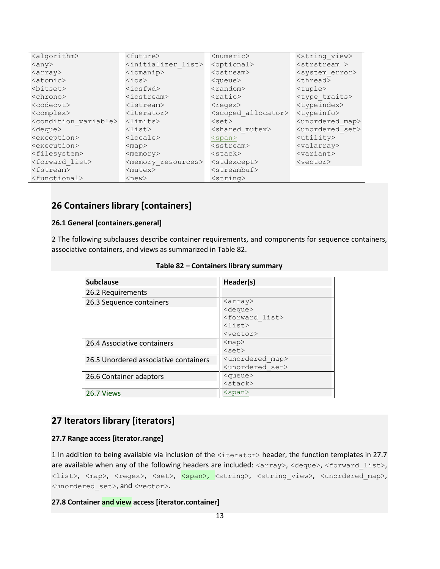| <algorithm></algorithm>             | <future></future>                   | <numeric></numeric>            | <string view=""></string>      |
|-------------------------------------|-------------------------------------|--------------------------------|--------------------------------|
| $\langle$ any $\rangle$             | <initializer list=""></initializer> | <optional></optional>          | $<$ strstream >                |
| $\langle \text{array} \rangle$      | $\langle$ iomanip>                  | $<$ ostream $>$                | <system error=""></system>     |
| $<$ atomic $>$                      | $\langle$ ios $>$                   | <queue></queue>                | <thread></thread>              |
| <bitset></bitset>                   | $<$ iosfwd $>$                      | $<$ random $>$                 | <tuple></tuple>                |
| <chrono></chrono>                   | $iostream$                          | $<$ ratio $>$                  | <type traits=""></type>        |
| <codecvt></codecvt>                 | $<$ istream $>$                     | $<$ regex $>$                  | <typeindex></typeindex>        |
| <complex></complex>                 | $\langle$ iterator>                 | <scoped allocator=""></scoped> | <typeinfo></typeinfo>          |
| <condition variable=""></condition> | $\langle$ limits $\rangle$          | $<$ set $>$                    | <unordered map=""></unordered> |
| <deque></deque>                     | $\langle$ list $\rangle$            | <shared mutex=""></shared>     | <unordered set=""></unordered> |
| <exception></exception>             | $<$ locale $>$                      | $<$ span $>$                   | $<$ utility $>$                |
| <execution></execution>             | $<$ map $>$                         | $<$ sstream $>$                | <valarray></valarray>          |
| <filesystem></filesystem>           | $<$ memory $>$                      | $<$ stack $>$                  | $\langle variant \rangle$      |
| <forward list=""></forward>         | <memory resources=""></memory>      | <stdexcept></stdexcept>        | <vector></vector>              |
| <fstream></fstream>                 | <mutex></mutex>                     | $<$ streambuf>                 |                                |
| <functional></functional>           | $<$ new $>$                         | $<$ string>                    |                                |

# **26 Containers library [containers]**

## **26.1 General [containers.general]**

2 The following subclauses describe container requirements, and components for sequence containers, associative containers, and views as summarized in Table 82.

| <b>Subclause</b>                      | Header(s)                      |
|---------------------------------------|--------------------------------|
| 26.2 Requirements                     |                                |
| 26.3 Sequence containers              | $\langle \text{array} \rangle$ |
|                                       | <deque></deque>                |
|                                       | <forward list=""></forward>    |
|                                       | $\langle$ list>                |
|                                       | <vector></vector>              |
| 26.4 Associative containers           | $<$ map $>$                    |
|                                       | $<$ set>                       |
| 26.5 Unordered associative containers | <unordered map=""></unordered> |
|                                       | <unordered set=""></unordered> |
| 26.6 Container adaptors               | <queue></queue>                |
|                                       | $<$ stack $>$                  |
| 26.7 Views                            | $<$ span $>$                   |

#### **Table 82 – Containers library summary**

# **27 Iterators library [iterators]**

## **27.7 Range access [iterator.range]**

1 In addition to being available via inclusion of the <iterator> header, the function templates in 27.7 are available when any of the following headers are included: <array>, <deque>, <forward list>, <list>, <map>, <regex>, <set>, <span>, <string>, <string\_view>, <unordered\_map>, <unordered\_set>, and <vector>.

### **27.8 Container and view access [iterator.container]**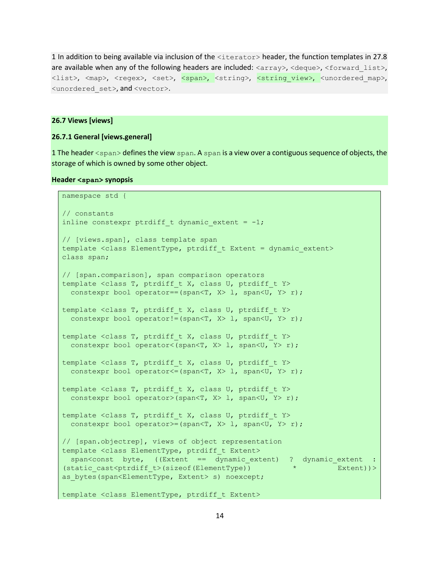1 In addition to being available via inclusion of the <iterator> header, the function templates in 27.8 are available when any of the following headers are included:  $\langle \text{array}\rangle$ ,  $\langle \text{decay}\rangle$ ,  $\langle \text{forward list}\rangle$ , <list>, <map>, <regex>, <set>, <span>, <string>, <string\_view>, <unordered\_map>, <unordered\_set>, and <vector>.

#### **26.7 Views [views]**

#### **26.7.1 General [views.general]**

1 The header <span> defines the view span. A span is a view over a contiguous sequence of objects, the storage of which is owned by some other object.

#### **Header <span> synopsis**

```
namespace std {
// constants 
inline constexpr ptrdiff t dynamic extent = -1;
// [views.span], class template span
template <class ElementType, ptrdiff t Extent = dynamic extent>
class span;
// [span.comparison], span comparison operators
template <class T, ptrdiff t X, class U, ptrdiff t Y>
 constexpr bool operator == (span<T, X> 1, span<U, Y> r);
template <class T, ptrdiff t X, class U, ptrdiff t Y>
 constexpr bool operator!=(span<T, X > 1, span<U, Y > r);
template <class T, ptrdiff t X, class U, ptrdiff t Y>
  constexpr bool operator<(span<T, X> l, span<U, Y> r);
template <class T, ptrdiff t X, class U, ptrdiff t Y>
 constexpr bool operator <= (span<T, X> l, span<U, Y> r);
template <class T, ptrdiff t X, class U, ptrdiff t Y>
 constexpr bool operator>(span<T, X> 1, span<U, Y> r);
template <class T, ptrdiff t X, class U, ptrdiff t Y>
 constexpr bool operator>=(span<T, X> l, span<U, Y> r);
// [span.objectrep], views of object representation
template <class ElementType, ptrdiff t Extent>
 span<const byte, ((Extent == dynamic extent) ? dynamic extent :
(static cast<ptrdiff t>(sizeof(ElementType)) * * Extent))>
as bytes(span<ElementType, Extent> s) noexcept;
template <class ElementType, ptrdiff t Extent>
```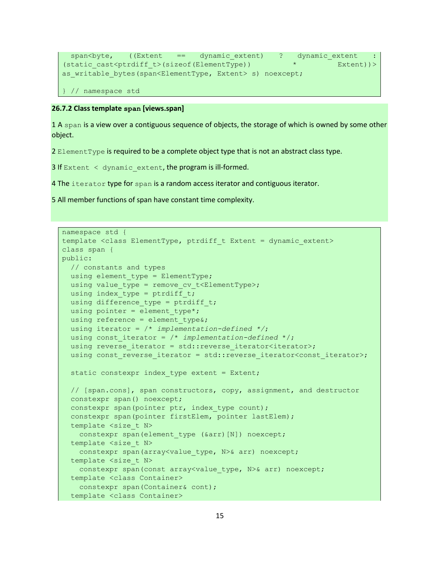```
 span<byte, ((Extent == dynamic_extent) ? dynamic_extent : 
(static cast<ptrdiff t>(sizeof(ElementType)) *  Extent))>
as writable bytes(span<ElementType, Extent> s) noexcept;
} // namespace std
```
## **26.7.2 Class template span [views.span]**

1 A span is a view over a contiguous sequence of objects, the storage of which is owned by some other object.

2 ElementType is required to be a complete object type that is not an abstract class type.

3 If Extent  $\langle$  dynamic extent, the program is ill-formed.

4 The iterator type for span is a random access iterator and contiguous iterator.

5 All member functions of span have constant time complexity.

```
namespace std {
template <class ElementType, ptrdiff t Extent = dynamic extent>
class span {
public:
  // constants and types
 using element type = ElementType;
 using value type = remove cv t<ElementType>;
 using index type = ptrdiff t;
 using difference type = ptrdiff t;
 using pointer = element type*;
 using reference = element type&;
  using iterator = /* implementation-defined */;
  using const_iterator = /* implementation-defined */; 
 using reverse iterator = std::reverse iterator<iterator>;
 using const reverse iterator = std::reverse iterator<const iterator>;
  static constexpr index type extent = Extent;
  // [span.cons], span constructors, copy, assignment, and destructor
   constexpr span() noexcept;
  constexpr span(pointer ptr, index type count);
   constexpr span(pointer firstElem, pointer lastElem);
  template <size t N>
    constexpr span(element_type (&arr)[N]) noexcept;
  template <size t N>
   constexpr span(array<value type, N>& arr) noexcept;
  template <size t N>
   constexpr span(const array<value type, N>& arr) noexcept;
   template <class Container>
    constexpr span(Container& cont);
   template <class Container>
```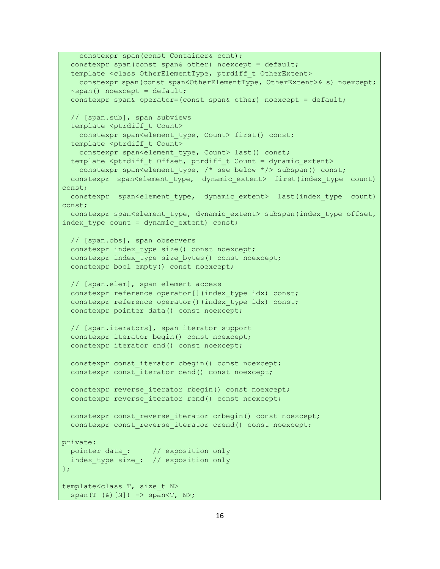```
 constexpr span(const Container& cont);
   constexpr span(const span& other) noexcept = default;
   template <class OtherElementType, ptrdiff_t OtherExtent> 
    constexpr span(const span<OtherElementType, OtherExtent>& s) noexcept;
   ~span() noexcept = default;
  constexpr span& operator=(const span& other) noexcept = default;
   // [span.sub], span subviews 
  template <ptrdiff t Count>
   constexpr span<element type, Count> first() const;
  template <ptrdiff t Count>
   constexpr span<element type, Count> last() const;
  template <ptrdiff t Offset, ptrdiff t Count = dynamic extent>
    constexpr span<element type, /* see below */> subspan() const;
  constexpr span<element type, dynamic extent> first(index type count)
const;
 constexpr span<element type, dynamic extent> last(index type count)
const;
 constexpr span<element type, dynamic extent> subspan(index type offset,
index type count = dynamic extent) const;
   // [span.obs], span observers
 constexpr index type size() const noexcept;
 constexpr index type size bytes() const noexcept;
   constexpr bool empty() const noexcept;
  // [span.elem], span element access
  constexpr reference operator[](index type idx) const;
 constexpr reference operator()(index type idx) const;
   constexpr pointer data() const noexcept;
  // [span.iterators], span iterator support
   constexpr iterator begin() const noexcept;
   constexpr iterator end() const noexcept;
  constexpr const iterator cbegin() const noexcept;
  constexpr const iterator cend() const noexcept;
 constexpr reverse iterator rbegin() const noexcept;
  constexpr reverse iterator rend() const noexcept;
 constexpr const reverse iterator crbegin() const noexcept;
  constexpr const reverse iterator crend() const noexcept;
private:
 pointer data ; // exposition only
 index type size ; // exposition only
};
template<class T, size_t N>
  span(T (\&)[N]) -> span<T, N>;
```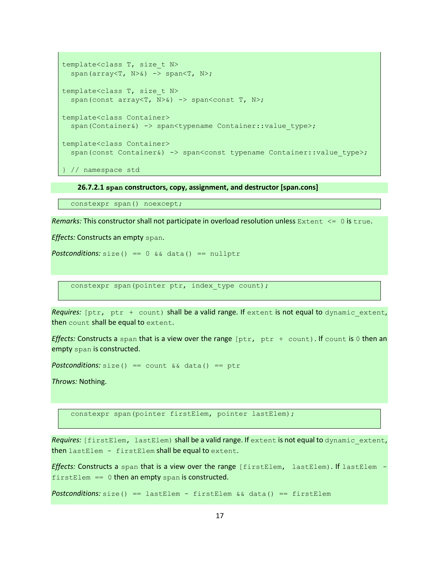```
template<class T, size_t N>
  span(array<T, N>&) -> span<T, N>;
template<class T, size_t N>
  span(const array<T, N>&) -> span<const T, N>;
template<class Container>
  span(Container&) -> span<typename Container::value type>;
template<class Container>
  span(const Container&) -> span<const typename Container::value type>;
} // namespace std
```
**26.7.2.1 span constructors, copy, assignment, and destructor [span.cons]**

constexpr span() noexcept;

*Remarks:* This constructor shall not participate in overload resolution unless Extent  $\leq 0$  is true.

*Effects:* Constructs an empty span.

**Postconditions:**  $size() == 0 & & data() == nullptr$ 

constexpr span(pointer ptr, index type count);

*Requires:* [ptr, ptr + count) shall be a valid range. If extent is not equal to dynamic extent, then count shall be equal to extent.

*Effects:* Constructs a span that is a view over the range  $[ptr,ptr + count]$ . If count is 0 then an empty span is constructed.

*Postconditions:* size() == count && data() == ptr

*Throws:* Nothing.

constexpr span(pointer firstElem, pointer lastElem);

*Requires:* [firstElem, lastElem) shall be a valid range. If extent is not equal to dynamic\_extent, then lastElem - firstElem shall be equal to extent.

*Effects:* Constructs a span that is a view over the range [firstElem, lastElem). If lastElem  $firstElement = 0$  then an empty span is constructed.

*Postconditions:* size() == lastElem - firstElem && data() == firstElem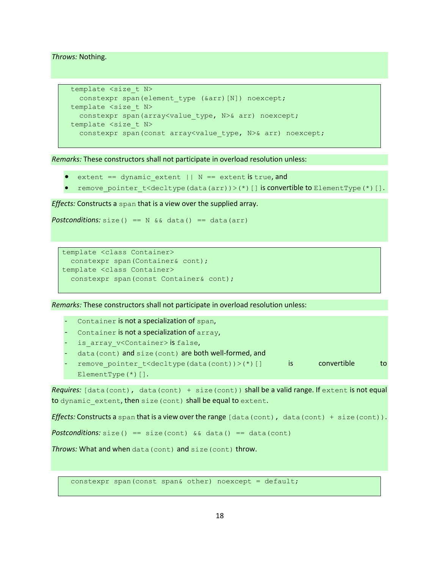*Throws:* Nothing.

```
template <size t N>
  constexpr span(element type (&arr)[N]) noexcept;
template <size t N>
 constexpr span(array<value type, N>& arr) noexcept;
template <size t N>
  constexpr span(const array<value type, N>& arr) noexcept;
```
*Remarks:* These constructors shall not participate in overload resolution unless:

- extent == dynamic extent || N == extent is true, and
- remove\_pointer\_t<decltype(data(arr))>(\*)[] is convertible to ElementType(\*)[].

*Effects:* Constructs a span that is a view over the supplied array.

```
Postconditions: size() == N & & data() == data(arr)
```

```
template <class Container>
  constexpr span(Container& cont);
template <class Container>
   constexpr span(const Container& cont);
```
*Remarks:* These constructors shall not participate in overload resolution unless:

- *-* Container is not a specialization of span,
- *-* Container is not a specialization of array,
- is array v<Container> is false,
- data(cont) and size(cont) are both well-formed, and
- remove pointer t<decltype(data(cont))>(\*)[] is convertible to ElementType(\*)[].

*Requires:* [data(cont), data(cont) + size(cont)) shall be a valid range. If extent is not equal to dynamic extent, then size (cont) shall be equal to extent.

*Effects:* Constructs a span that is a view over the range [data(cont), data(cont) + size(cont)).

**Postconditions:** size() == size(cont)  $\&&$  data() == data(cont)

*Throws:* What and when data(cont) and size(cont) throw.

constexpr span(const span& other) noexcept = default;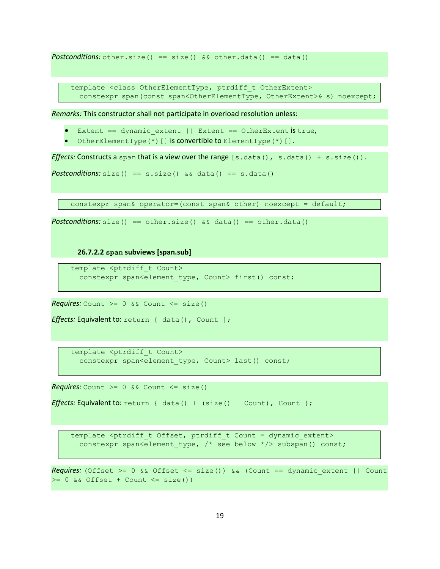**Postconditions:** other.size() == size()  $&\&$  other.data() == data()

template <class OtherElementType, ptrdiff t OtherExtent> constexpr span(const span<OtherElementType, OtherExtent>& s) noexcept;

*Remarks:* This constructor shall not participate in overload resolution unless:

- Extent == dynamic\_extent || Extent == OtherExtent is true,
- OtherElementType(\*)[] is convertible to ElementType(\*)[].

*Effects:* Constructs a span that is a view over the range  $[s.data()$ , s.data $() + s.size()$ .

```
Postconditions: size() == s.size() \&\&\text{ data()} == s.data()
```
constexpr span& operator=(const span& other) noexcept = default;

*Postconditions:*  $size() == other.size() & & data() == other.data()$ 

**26.7.2.2 span subviews [span.sub]**

```
template <ptrdiff t Count>
  constexpr span<element type, Count> first() const;
```
*Requires:* Count  $>= 0$  && Count  $<=$  size()

```
Effects: Equivalent to: return { data(), Count };
```
template <ptrdiff t Count> constexpr span<element type, Count> last() const;

*Requires:* Count  $>= 0$  && Count  $<=$  size()

```
Effects: Equivalent to: return { data() + (size() - Count), Count };
```
template <ptrdiff t Offset, ptrdiff t Count = dynamic extent> constexpr span<element type, /\* see below \*/> subspan() const;

*Requires:* (Offset  $>= 0$  && Offset  $<=$  size()) && (Count == dynamic extent || Count  $>= 0$  && Offset + Count  $<=$  size())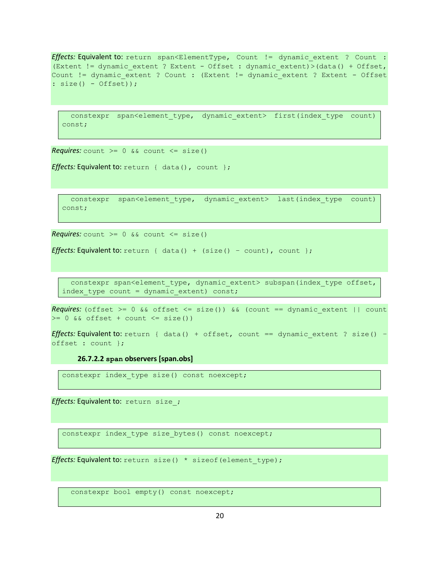*Effects:* Equivalent to: return span<ElementType, Count != dynamic extent ? Count : (Extent != dynamic\_extent ? Extent - Offset : dynamic\_extent)>(data() + Offset, Count != dynamic extent ? Count : (Extent != dynamic extent ? Extent - Offset : size() - Offset));

```
constexpr span<element type, dynamic extent> first(index type count)
const;
```
*Requires:* count  $>= 0$  && count  $<=$  size()

```
Effects: Equivalent to: return { data(), count };
```

```
 constexpr span<element_type, dynamic_extent> last(index_type count) 
const;
```
*Requires:* count  $>= 0$  && count  $<=$  size()

*Effects:* Equivalent to: return { data() + (size() - count), count };

constexpr span<element\_type, dynamic\_extent> subspan(index\_type offset, index\_type count = dynamic\_extent) const;

*Requires:* (offset  $>= 0$  && offset  $<=$  size()) && (count == dynamic extent || count  $>= 0$  && offset + count  $<=$  size())

```
Effects: Equivalent to: return { data() + offset, count == dynamic extent ? size() –
offset : count };
```
**26.7.2.2 span observers [span.obs]**

constexpr index type size() const noexcept;

*Effects:* **Equivalent to:** return size ;

constexpr index\_type size\_bytes() const noexcept;

*Effects:* Equivalent to: return size() \* sizeof(element type);

constexpr bool empty() const noexcept;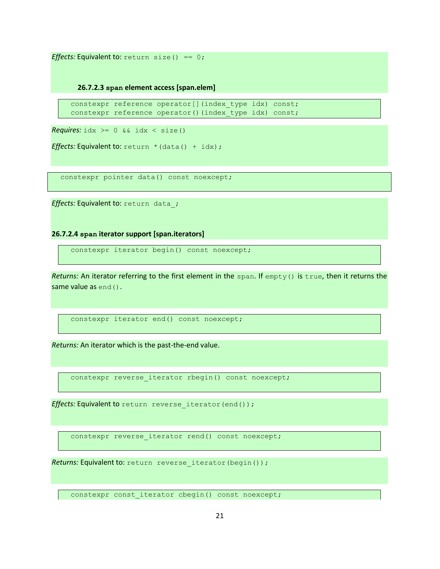*Effects:* Equivalent to:  $return size() == 0;$ 

**26.7.2.3 span element access [span.elem]**

constexpr reference operator[](index type idx) const; constexpr reference operator()(index type idx) const;

*Requires:*  $idx \ge 0$  &&  $idx \le size()$ 

*Effects:* Equivalent to:  $return * (data() + idx);$ 

constexpr pointer data() const noexcept;

*Effects:* **Equivalent to:** return data ;

**26.7.2.4 span iterator support [span.iterators]**

constexpr iterator begin() const noexcept;

*Returns:* An iterator referring to the first element in the span. If empty() is true, then it returns the same value as end().

constexpr iterator end() const noexcept;

*Returns:* An iterator which is the past-the-end value.

constexpr reverse\_iterator rbegin() const noexcept;

*Effects: Equivalent to return reverse iterator (end());* 

constexpr reverse iterator rend() const noexcept;

*Returns: Equivalent to: return reverse iterator (begin());* 

constexpr const iterator cbegin() const noexcept;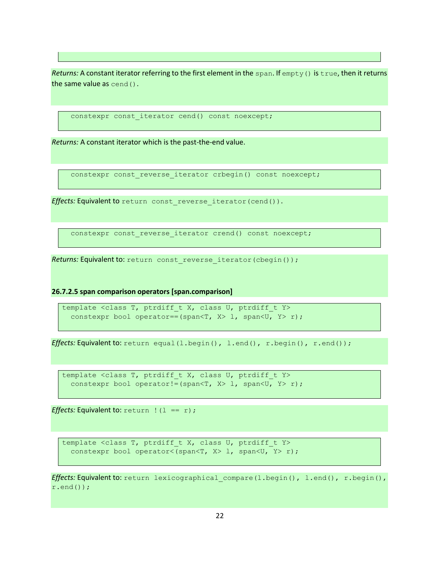*Returns:* A constant iterator referring to the first element in the span. If empty() is true, then it returns the same value as cend().

```
constexpr const iterator cend() const noexcept;
```
*Returns:* A constant iterator which is the past-the-end value.

constexpr const reverse iterator crbegin() const noexcept;

*Effects: Equivalent to return const reverse iterator (cend()).* 

constexpr const\_reverse\_iterator crend() const noexcept;

*Returns: Equivalent to: return const reverse iterator (cbegin());* 

**26.7.2.5 span comparison operators [span.comparison]**

```
template <class T, ptrdiff t X, class U, ptrdiff t Y>
  constexpr bool operator==(span<T, X> l, span<U, Y> r);
```
*Effects:* Equivalent to: return equal(l.begin(), l.end(), r.begin(), r.end());

template <class T, ptrdiff t X, class U, ptrdiff t Y> constexpr bool operator!=(span<T, X> 1, span<U, Y> r);

*Effects:* Equivalent to:  $return$  !  $(1 == r)$ ;

template <class T, ptrdiff t X, class U, ptrdiff t Y> constexpr bool operator<(span<T, X> 1, span<U, Y> r);

*Effects:* Equivalent to: return lexicographical compare(l.begin(), l.end(), r.begin(), r.end());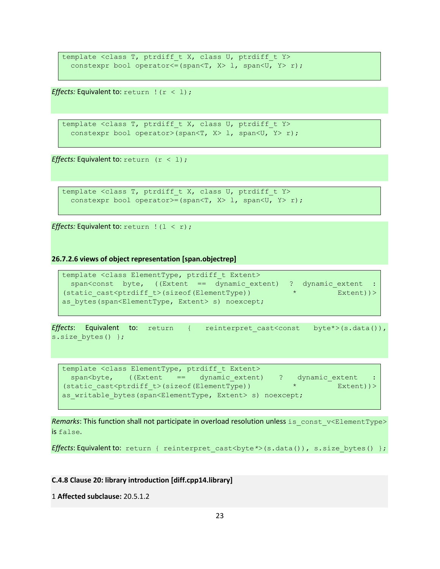```
template <class T, ptrdiff_t X, class U, ptrdiff_t Y>
 constexpr bool operator <= (span<T, X> 1, span<U, Y> r);
```
*Effects:* Equivalent to:  $return$  !  $(r < 1)$ ;

```
template <class T, ptrdiff t X, class U, ptrdiff t Y>
  constexpr bool operator>(span<T, X> 1, span<U, Y> r);
```
*Effects:* Equivalent to:  $return$   $(r < 1)$ ;

```
template <class T, ptrdiff t X, class U, ptrdiff t Y>
  constexpr bool operator>=(span<T, X> l, span<U, Y> r);
```
*Effects:* Equivalent to: return ! (1 < r) ;

**26.7.2.6 views of object representation [span.objectrep]**

```
template <class ElementType, ptrdiff t Extent>
 span<const byte, ((Extent == dynamic_extent) ? dynamic extent :
(static cast<ptrdiff t>(sizeof(ElementType)) *  Extent))>
as bytes(span<ElementType, Extent> s) noexcept;
```
*Effects*: Equivalent to: return { reinterpret\_cast<const byte\*>(s.data()), s.size bytes() };

```
template <class ElementType, ptrdiff_t Extent>
 span<br/>byte, ((Extent == dynamic_extent) ? dynamic_extent :
(static_cast<ptrdiff_t>(sizeof(ElementType)) * Extent))> 
as writable bytes(span<ElementType, Extent> s) noexcept;
```
Remarks: This function shall not participate in overload resolution unless is const v<ElementType> is false.

<span id="page-22-0"></span>*Effects*: Equivalent to: return { reinterpret cast<br/>byte<sup>\*</sup>>(s.data()), s.size bytes() };

#### **C.4.8 Clause 20: library introduction [diff.cpp14.library]**

```
1 Affected subclause: 20.5.1.2
```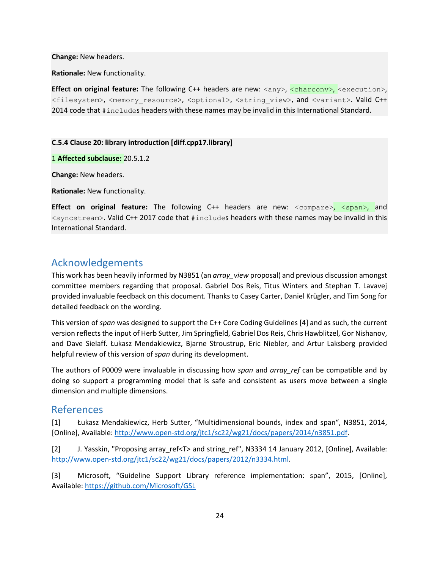**Change:** New headers.

**Rationale:** New functionality.

**Effect on original feature:** The following C++ headers are new:  $\langle \text{any} \rangle$ ,  $\langle \text{charconv} \rangle$ ,  $\langle \text{exsection} \rangle$ , <filesystem>, <memory\_resource>, <optional>, <string\_view>, and <variant>. Valid C++ 2014 code that #includes headers with these names may be invalid in this International Standard.

#### **C.5.4 Clause 20: library introduction [diff.cpp17.library]**

1 **Affected subclause:** 20.5.1.2

**Change:** New headers.

**Rationale:** New functionality.

**Effect on original feature:** The following C++ headers are new: <compare>, <span>, and <syncstream>. Valid C++ 2017 code that #includes headers with these names may be invalid in this International Standard.

# Acknowledgements

This work has been heavily informed by N3851 (an *array\_view* proposal) and previous discussion amongst committee members regarding that proposal. Gabriel Dos Reis, Titus Winters and Stephan T. Lavavej provided invaluable feedback on this document. Thanks to Casey Carter, Daniel Krügler, and Tim Song for detailed feedback on the wording.

This version of *span* was designed to support the C++ Core Coding Guidelines [4] and as such, the current version reflects the input of Herb Sutter, Jim Springfield, Gabriel Dos Reis, Chris Hawblitzel, Gor Nishanov, and Dave Sielaff. Łukasz Mendakiewicz, Bjarne Stroustrup, Eric Niebler, and Artur Laksberg provided helpful review of this version of *span* during its development.

The authors of P0009 were invaluable in discussing how *span* and *array\_ref* can be compatible and by doing so support a programming model that is safe and consistent as users move between a single dimension and multiple dimensions.

## <span id="page-23-0"></span>References

[1] Łukasz Mendakiewicz, Herb Sutter, "Multidimensional bounds, index and span", N3851, 2014, [Online], Available[: http://www.open-std.org/jtc1/sc22/wg21/docs/papers/2014/n3851.pdf.](http://www.open-std.org/jtc1/sc22/wg21/docs/papers/2014/n3851.pdf)

[2] J. Yasskin, "Proposing array\_ref<T> and string\_ref", N3334 14 January 2012, [Online], Available: [http://www.open-std.org/jtc1/sc22/wg21/docs/papers/2012/n3334.html.](http://www.open-std.org/jtc1/sc22/wg21/docs/papers/2012/n3334.html)

[3] Microsoft, "Guideline Support Library reference implementation: span", 2015, [Online], Available:<https://github.com/Microsoft/GSL>